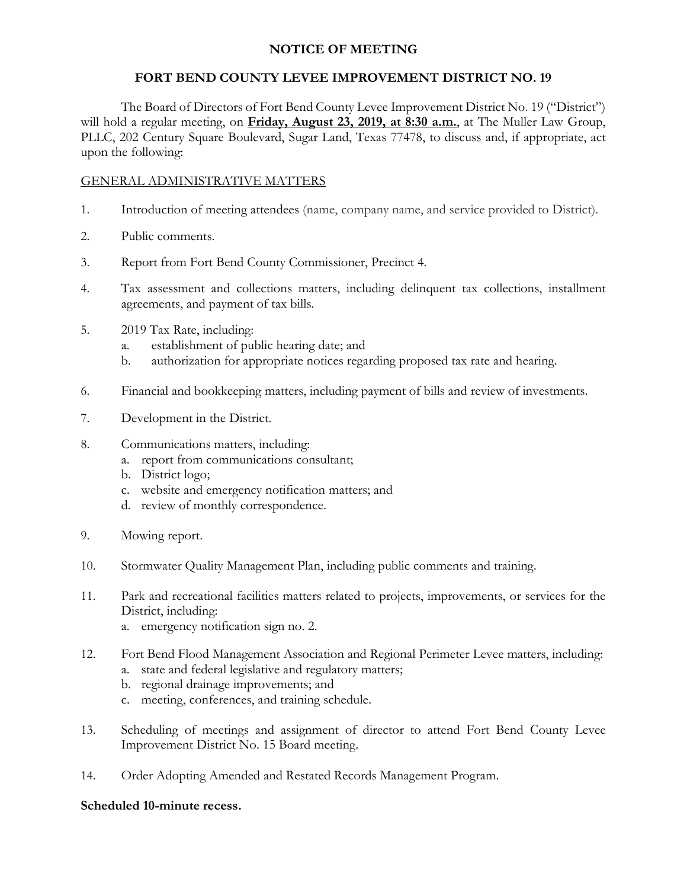# **NOTICE OF MEETING**

# **FORT BEND COUNTY LEVEE IMPROVEMENT DISTRICT NO. 19**

The Board of Directors of Fort Bend County Levee Improvement District No. 19 ("District") will hold a regular meeting, on **Friday, August 23, 2019, at 8:30 a.m.**, at The Muller Law Group, PLLC, 202 Century Square Boulevard, Sugar Land, Texas 77478, to discuss and, if appropriate, act upon the following:

### GENERAL ADMINISTRATIVE MATTERS

- 1. Introduction of meeting attendees (name, company name, and service provided to District).
- 2. Public comments.
- 3. Report from Fort Bend County Commissioner, Precinct 4.
- 4. Tax assessment and collections matters, including delinquent tax collections, installment agreements, and payment of tax bills.
- 5. 2019 Tax Rate, including:
	- a. establishment of public hearing date; and
	- b. authorization for appropriate notices regarding proposed tax rate and hearing.
- 6. Financial and bookkeeping matters, including payment of bills and review of investments.
- 7. Development in the District.
- 8. Communications matters, including:
	- a. report from communications consultant;
	- b. District logo;
	- c. website and emergency notification matters; and
	- d. review of monthly correspondence.
- 9. Mowing report.
- 10. Stormwater Quality Management Plan, including public comments and training.
- 11. Park and recreational facilities matters related to projects, improvements, or services for the District, including:
	- a. emergency notification sign no. 2.
- 12. Fort Bend Flood Management Association and Regional Perimeter Levee matters, including:
	- a. state and federal legislative and regulatory matters;
	- b. regional drainage improvements; and
	- c. meeting, conferences, and training schedule.
- 13. Scheduling of meetings and assignment of director to attend Fort Bend County Levee Improvement District No. 15 Board meeting.
- 14. Order Adopting Amended and Restated Records Management Program.

#### **Scheduled 10-minute recess.**